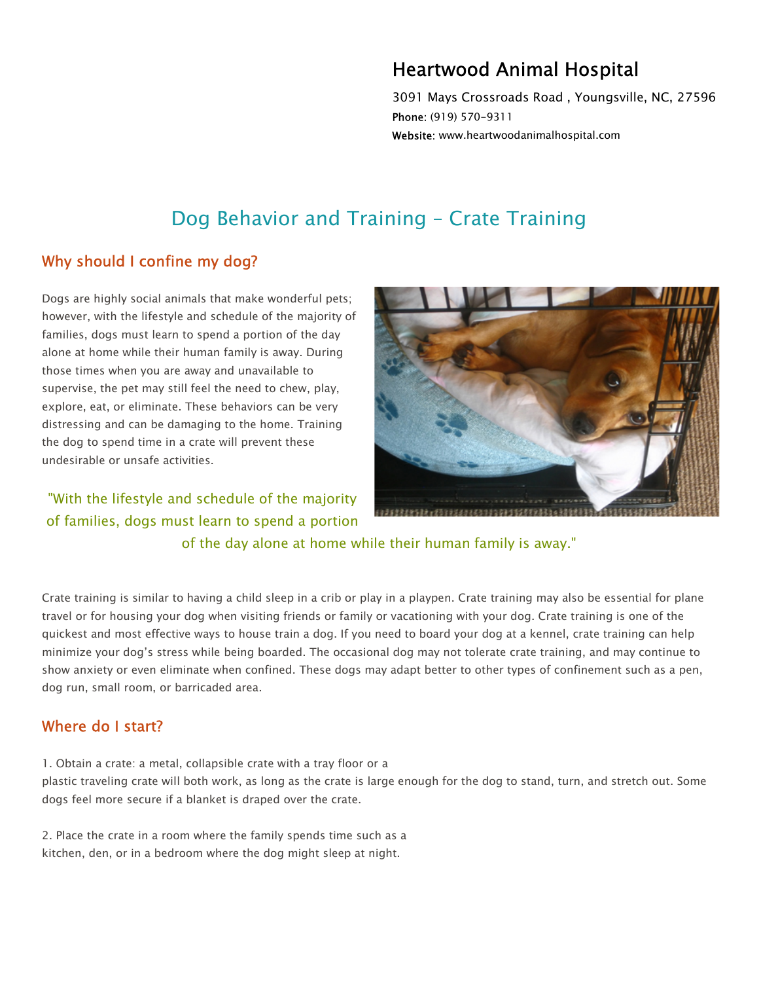## Heartwood Animal Hospital

3091 Mays Crossroads Road , Youngsville, NC, 27596 Phone: (919) 570-9311 Website: www.heartwoodanimalhospital.com

# Dog Behavior and Training – Crate Training

## Why should I confine my dog?

Dogs are highly social animals that make wonderful pets; however, with the lifestyle and schedule of the majority of families, dogs must learn to spend a portion of the day alone at home while their human family is away. During those times when you are away and unavailable to supervise, the pet may still feel the need to chew, play, explore, eat, or eliminate. These behaviors can be very distressing and can be damaging to the home. Training the dog to spend time in a crate will prevent these undesirable or unsafe activities.

"With the lifestyle and schedule of the majority of families, dogs must learn to spend a portion



of the day alone at home while their human family is away."

Crate training is similar to having a child sleep in a crib or play in a playpen. Crate training may also be essential for plane travel or for housing your dog when visiting friends or family or vacationing with your dog. Crate training is one of the quickest and most effective ways to house train a dog. If you need to board your dog at a kennel, crate training can help minimize your dog's stress while being boarded. The occasional dog may not tolerate crate training, and may continue to show anxiety or even eliminate when confined. These dogs may adapt better to other types of confinement such as a pen, dog run, small room, or barricaded area.

#### Where do I start?

1. Obtain a crate: a metal, collapsible crate with a tray floor or a

plastic traveling crate will both work, as long as the crate is large enough for the dog to stand, turn, and stretch out. Some dogs feel more secure if a blanket is draped over the crate.

2. Place the crate in a room where the family spends time such as a kitchen, den, or in a bedroom where the dog might sleep at night.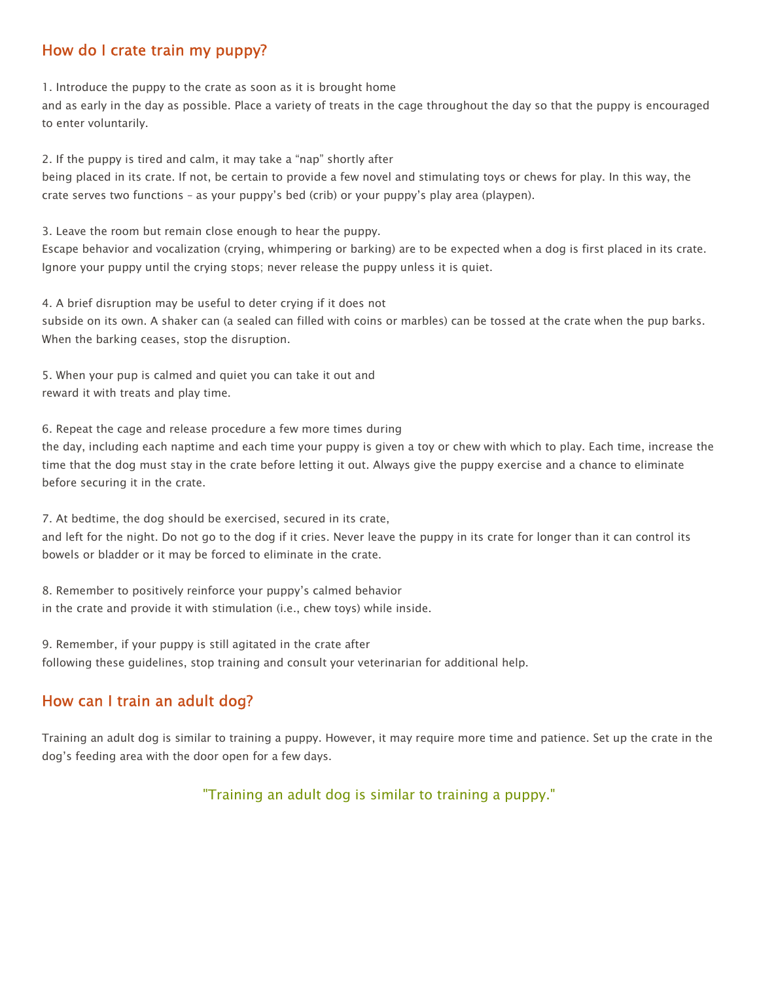### How do I crate train my puppy?

1. Introduce the puppy to the crate as soon as it is brought home

and as early in the day as possible. Place a variety of treats in the cage throughout the day so that the puppy is encouraged to enter voluntarily.

2. If the puppy is tired and calm, it may take a "nap" shortly after

being placed in its crate. If not, be certain to provide a few novel and stimulating toys or chews for play. In this way, the crate serves two functions – as your puppy's bed (crib) or your puppy's play area (playpen).

3. Leave the room but remain close enough to hear the puppy.

Escape behavior and vocalization (crying, whimpering or barking) are to be expected when a dog is first placed in its crate. Ignore your puppy until the crying stops; never release the puppy unless it is quiet.

4. A brief disruption may be useful to deter crying if it does not

subside on its own. A shaker can (a sealed can filled with coins or marbles) can be tossed at the crate when the pup barks. When the barking ceases, stop the disruption.

5. When your pup is calmed and quiet you can take it out and reward it with treats and play time.

6. Repeat the cage and release procedure a few more times during the day, including each naptime and each time your puppy is given a toy or chew with which to play. Each time, increase the time that the dog must stay in the crate before letting it out. Always give the puppy exercise and a chance to eliminate before securing it in the crate.

7. At bedtime, the dog should be exercised, secured in its crate, and left for the night. Do not go to the dog if it cries. Never leave the puppy in its crate for longer than it can control its bowels or bladder or it may be forced to eliminate in the crate.

8. Remember to positively reinforce your puppy's calmed behavior in the crate and provide it with stimulation (i.e., chew toys) while inside.

9. Remember, if your puppy is still agitated in the crate after following these guidelines, stop training and consult your veterinarian for additional help.

## How can I train an adult dog?

Training an adult dog is similar to training a puppy. However, it may require more time and patience. Set up the crate in the dog's feeding area with the door open for a few days.

"Training an adult dog is similar to training a puppy."